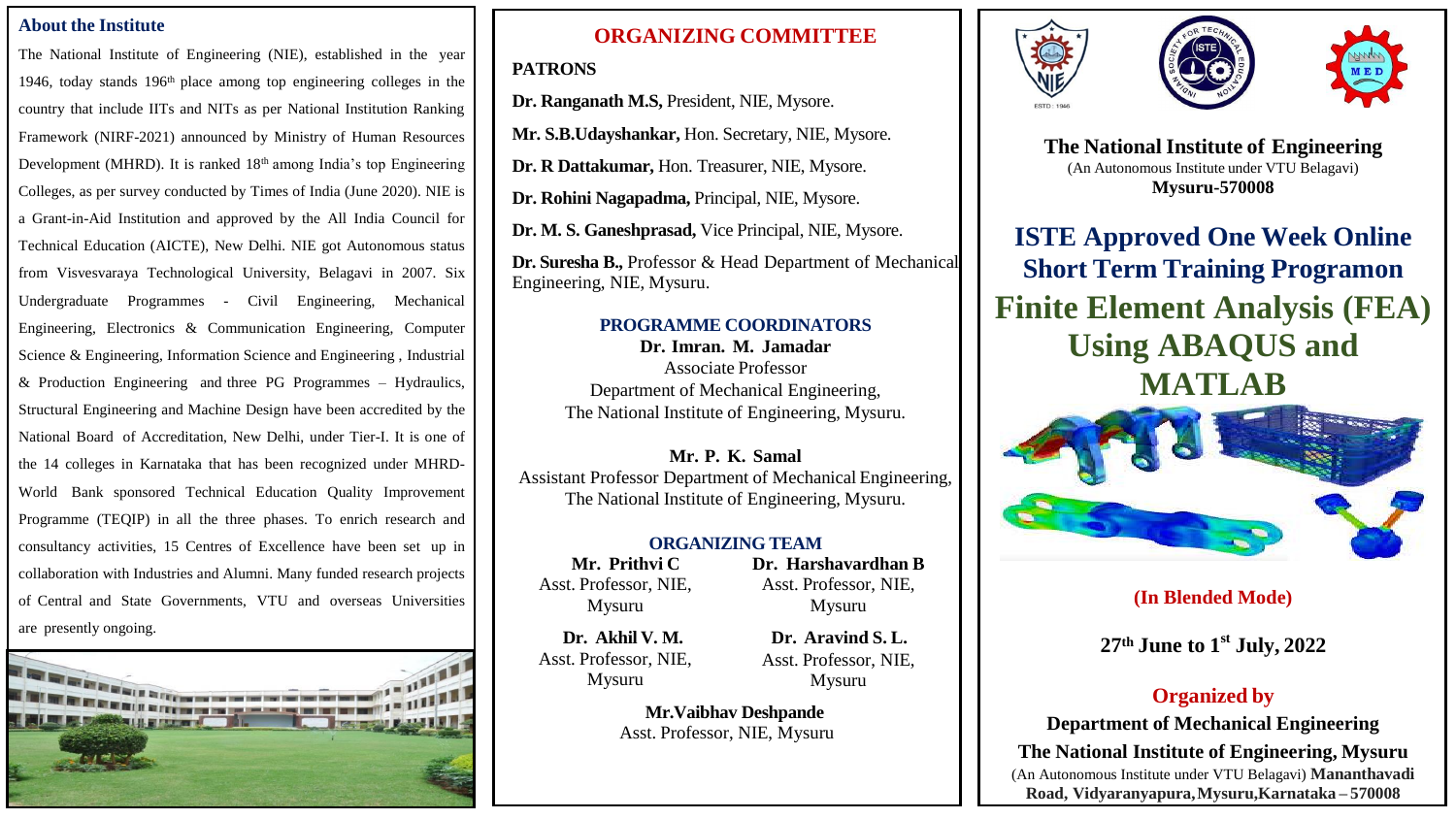#### **About the Institute**

The National Institute of Engineering (NIE), established in the year 1946, today stands 196th place among top engineering colleges in the country that include IITs and NITs as per National Institution Ranking Framework (NIRF-2021) announced by Ministry of Human Resources Development (MHRD). It is ranked 18<sup>th</sup> among India's top Engineering Colleges, as per survey conducted by Times of India (June 2020). NIE is a Grant-in-Aid Institution and approved by the All India Council for Technical Education (AICTE), New Delhi. NIE got Autonomous status from Visvesvaraya Technological University, Belagavi in 2007. Six Undergraduate Programmes - Civil Engineering, Mechanical Engineering, Electronics & Communication Engineering, Computer Science & Engineering, Information Science and Engineering , Industrial & Production Engineering and three PG Programmes – Hydraulics, Structural Engineering and Machine Design have been accredited by the National Board of Accreditation, New Delhi, under Tier-I. It is one of the 14 colleges in Karnataka that has been recognized under MHRD-World Bank sponsored Technical Education Quality Improvement Programme (TEQIP) in all the three phases. To enrich research and consultancy activities, 15 Centres of Excellence have been set up in collaboration with Industries and Alumni. Many funded research projects of Central and State Governments, VTU and overseas Universities are presently ongoing.



# **ORGANIZING COMMITTEE**

## **PATRONS**

**Dr. Ranganath M.S,** President, NIE, Mysore.

**Mr. S.B.Udayshankar,** Hon. Secretary, NIE, Mysore.

**Dr. R Dattakumar,** Hon. Treasurer, NIE, Mysore.

**Dr. Rohini Nagapadma,** Principal, NIE, Mysore.

**Dr. M. S. Ganeshprasad,** Vice Principal, NIE, Mysore.

**Dr. Suresha B.,** Professor & Head Department of Mechanical Engineering, NIE, Mysuru.

## **PROGRAMME COORDINATORS**

**Dr. Imran. M. Jamadar** Associate Professor Department of Mechanical Engineering, The National Institute of Engineering, Mysuru.

**Mr. P. K. Samal** Assistant Professor Department of Mechanical Engineering, The National Institute of Engineering, Mysuru.

#### **ORGANIZING TEAM**

**Mr. Prithvi C** Asst. Professor, NIE, Mysuru

**Dr. Harshavardhan B** Asst. Professor, NIE, Mysuru

**Dr. Akhil V. M.** Asst. Professor, NIE, Mysuru

**Dr. Aravind S. L.** Asst. Professor, NIE, Mysuru

**Mr.Vaibhav Deshpande** Asst. Professor, NIE, Mysuru







**The National Institute of Engineering** (An Autonomous Institute under VTU Belagavi) **Mysuru-570008**

**ISTE Approved One Week Online Short Term Training Programon Finite Element Analysis (FEA) Using ABAQUS and MATLAB**



# **(In Blended Mode)**

**27 th June to 1 st July, 2022**

# **Organized by**

**Department of Mechanical Engineering The National Institute of Engineering, Mysuru** (An Autonomous Institute under VTU Belagavi) **Mananthavadi Road, Vidyaranyapura,Mysuru,Karnataka – 570008**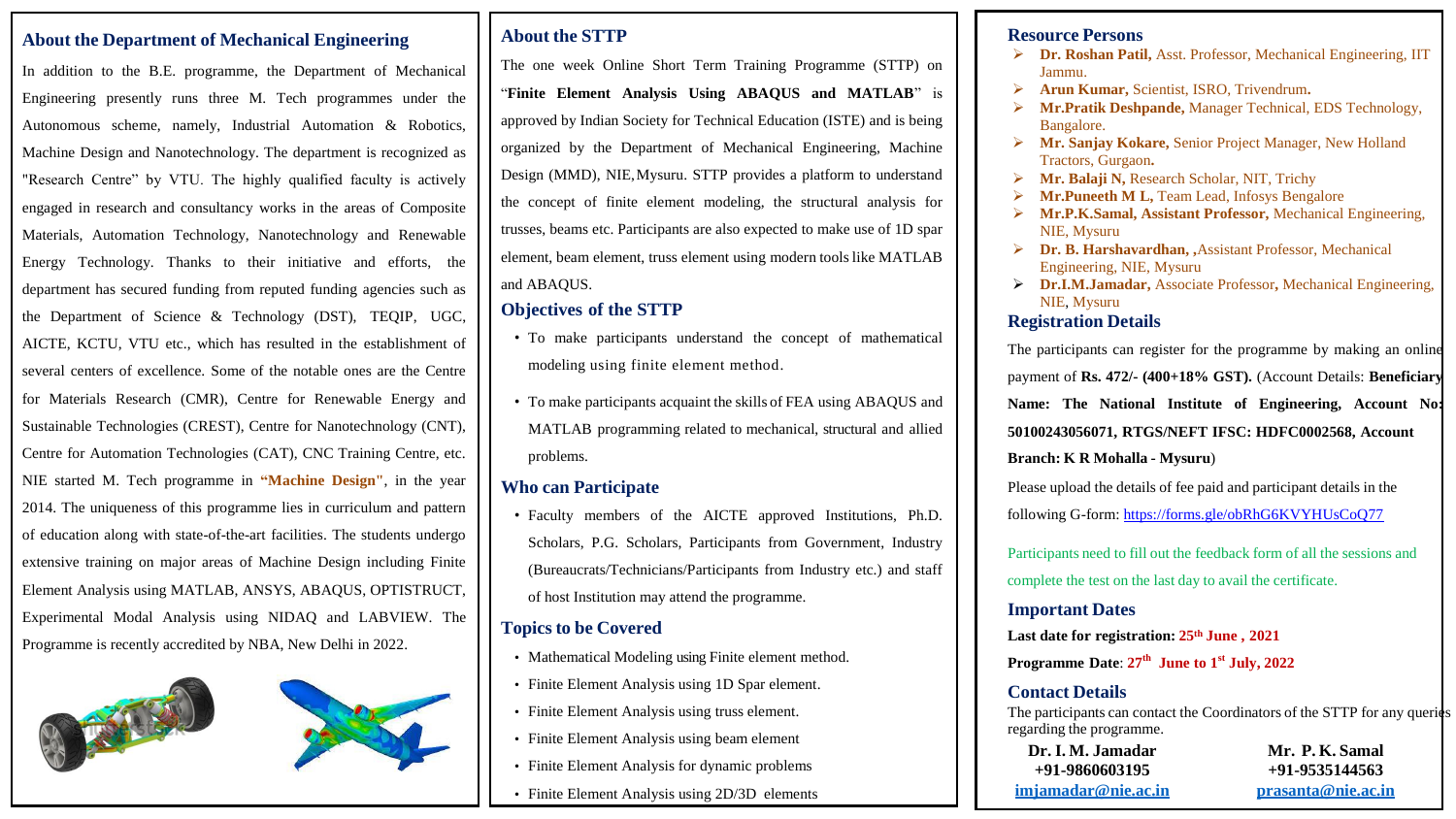#### **About the Department of Mechanical Engineering**

In addition to the B.E. programme, the Department of Mechanical Engineering presently runs three M. Tech programmes under the Autonomous scheme, namely, Industrial Automation & Robotics, Machine Design and Nanotechnology. The department is recognized as "Research Centre" by VTU. The highly qualified faculty is actively engaged in research and consultancy works in the areas of Composite Materials, Automation Technology, Nanotechnology and Renewable Energy Technology. Thanks to their initiative and efforts, the department has secured funding from reputed funding agencies such as the Department of Science & Technology (DST), TEQIP, UGC, AICTE, KCTU, VTU etc., which has resulted in the establishment of several centers of excellence. Some of the notable ones are the Centre for Materials Research (CMR), Centre for Renewable Energy and Sustainable Technologies (CREST), Centre for Nanotechnology (CNT), Centre for Automation Technologies (CAT), CNC Training Centre, etc. NIE started M. Tech programme in **"Machine Design"**, in the year 2014. The uniqueness of this programme lies in curriculum and pattern of education along with state-of-the-art facilities. The students undergo extensive training on major areas of Machine Design including Finite Element Analysis using MATLAB, ANSYS, ABAQUS, OPTISTRUCT, Experimental Modal Analysis using NIDAQ and LABVIEW. The Programme is recently accredited by NBA, New Delhi in 2022.



### **About the STTP**

The one week Online Short Term Training Programme (STTP) on "**Finite Element Analysis Using ABAQUS and MATLAB**" is approved by Indian Society for Technical Education (ISTE) and is being organized by the Department of Mechanical Engineering, Machine Design (MMD), NIE,Mysuru. STTP provides a platform to understand the concept of finite element modeling, the structural analysis for trusses, beams etc. Participants are also expected to make use of 1D spar element, beam element, truss element using modern tools like MATLAB and ABAQUS.

## **Objectives of the STTP**

- To make participants understand the concept of mathematical modeling using finite element method.
- To make participants acquaint the skills of FEA using ABAQUS and MATLAB programming related to mechanical, structural and allied problems.

## **Who can Participate**

• Faculty members of the AICTE approved Institutions, Ph.D. Scholars, P.G. Scholars, Participants from Government, Industry (Bureaucrats/Technicians/Participants from Industry etc.) and staff of host Institution may attend the programme.

## **Topicsto be Covered**

- Mathematical Modeling using Finite element method.
- Finite Element Analysis using 1D Spar element.
- Finite Element Analysis using truss element.
- Finite Element Analysis using beam element
- Finite Element Analysis for dynamic problems
- Finite Element Analysis using 2D/3D elements

#### **Resource Persons**

- **Dr. Roshan Patil,** Asst. Professor, Mechanical Engineering, IIT Jammu.
- **Arun Kumar,** Scientist, ISRO, Trivendrum**.**
- **Mr.Pratik Deshpande,** Manager Technical, EDS Technology, Bangalore.
- **Mr. Sanjay Kokare,** Senior Project Manager, New Holland Tractors, Gurgaon**.**
- **Mr. Balaji N,** Research Scholar, NIT, Trichy
- **►** Mr.Puneeth M L, Team Lead, Infosys Bengalore
- **Mr.P.K.Samal, Assistant Professor,** Mechanical Engineering, NIE, Mysuru
- **Dr. B. Harshavardhan, ,**Assistant Professor, Mechanical Engineering, NIE, Mysuru
- **Dr.I.M.Jamadar,** Associate Professor**,** Mechanical Engineering, NIE, Mysuru

#### **Registration Details**

The participants can register for the programme by making an online payment of **Rs. 472/- (400+18% GST).** (Account Details: **Beneficiary Name: The National Institute of Engineering, Account No: 50100243056071, RTGS/NEFT IFSC: HDFC0002568, Account Branch: K R Mohalla - Mysuru**)

Please upload the details of fee paid and participant details in the following G-form: <https://forms.gle/obRhG6KVYHUsCoQ77>

Participants need to fill out the feedback form of all the sessions and complete the test on the last day to avail the certificate.

**Important Dates Last date for registration: 25th June , 2021**

**Programme Date**: **27th June to 1st July, 2022**

## **Contact Details**

The participants can contact the Coordinators of the STTP for any queries regarding the programme.

**Dr. I. M. Jamadar +91-9860603195 [imjamadar@nie.ac.in](mailto:imjamadar@nie.ac.in)**

**Mr. P. K. Samal +91-9535144563 [prasanta@nie.ac.in](mailto:prasanta@nie.ac.in)**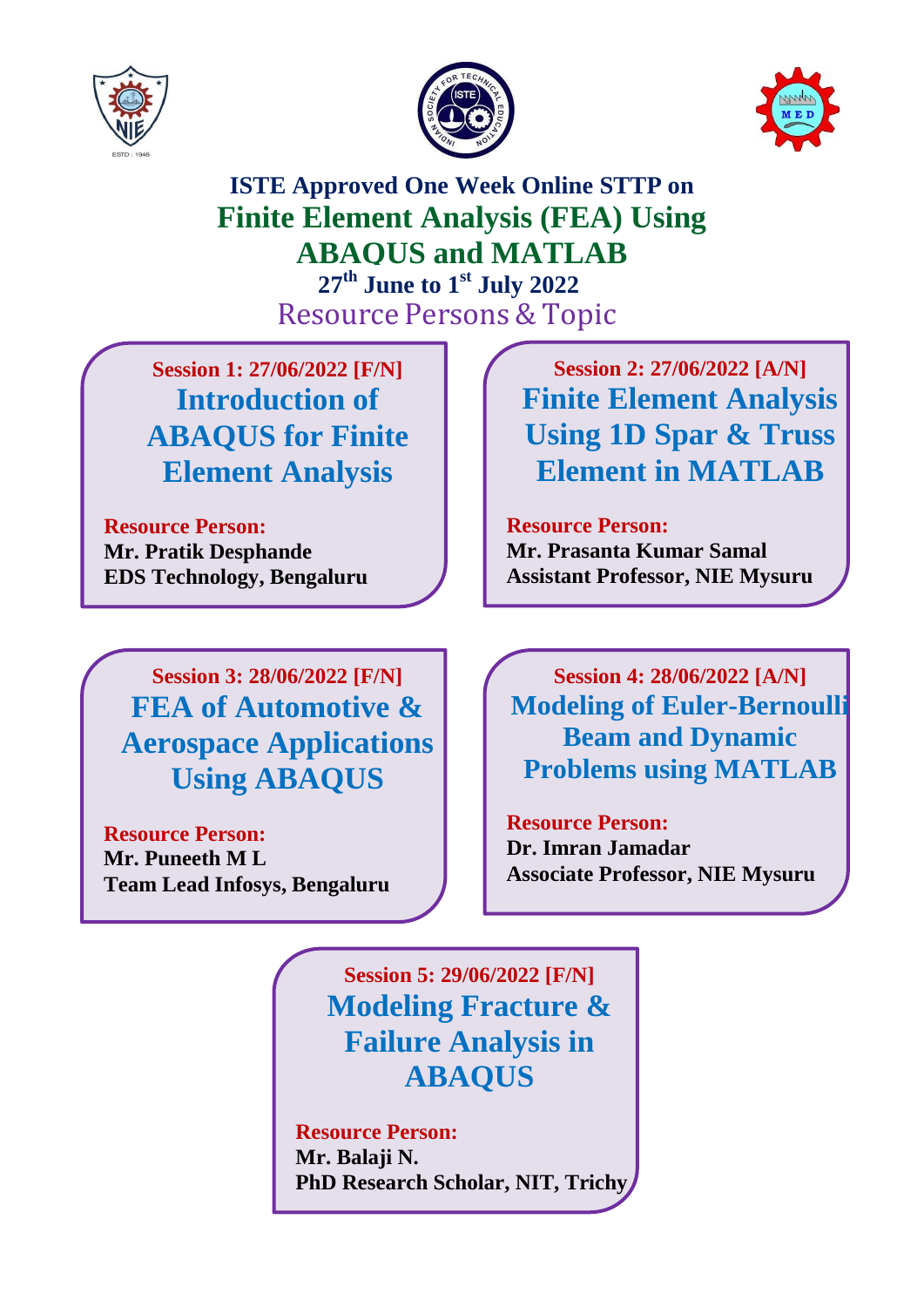





**ISTE Approved One Week Online STTP on Finite Element Analysis (FEA) Using ABAQUS and MATLAB 27th June to 1 st July 2022 Resource Persons & Topic** 

**Session 1: 27/06/2022 [F/N] Introduction of ABAQUS for Finite Element Analysis**

**Resource Person: Mr. Pratik Desphande EDS Technology, Bengaluru**

**Session 3: 28/06/2022 [F/N] FEA of Automotive & Aerospace Applications Using ABAQUS**

**Resource Person: Mr. Puneeth M L Team Lead Infosys, Bengaluru**

**Session 2: 27/06/2022 [A/N] Finite Element Analysis Using 1D Spar & Truss Element in MATLAB**

**Resource Person: Mr. Prasanta Kumar Samal Assistant Professor, NIE Mysuru**

**Session 4: 28/06/2022 [A/N] Modeling of Euler-Bernoulli Beam and Dynamic Problems using MATLAB**

**Resource Person: Dr. Imran Jamadar Associate Professor, NIE Mysuru**

**Session 5: 29/06/2022 [F/N] Modeling Fracture & Failure Analysis in ABAQUS**

**Resource Person: Mr. Balaji N. PhD Research Scholar, NIT, Trichy**